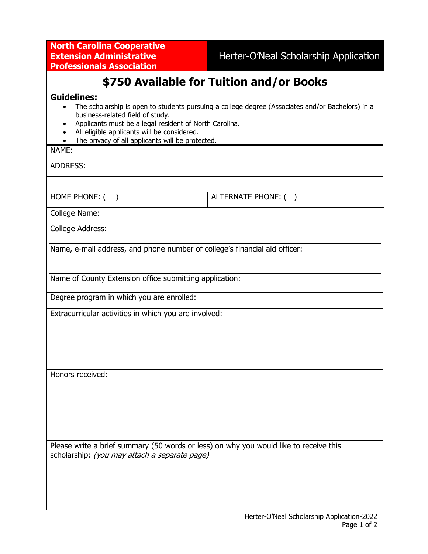**North Carolina Cooperative Extension Administrative Professionals Association**

# **\$750 Available for Tuition and/or Books**

### **Guidelines:**

- The scholarship is open to students pursuing a college degree (Associates and/or Bachelors) in a business-related field of study.
- Applicants must be a legal resident of North Carolina.
- All eligible applicants will be considered.
- The privacy of all applicants will be protected.

#### NAME:

ADDRESS:

HOME PHONE: ( )  $\vert$  ALTERNATE PHONE: ( )

College Name:

College Address:

Name, e-mail address, and phone number of college's financial aid officer:

Name of County Extension office submitting application:

Degree program in which you are enrolled:

Extracurricular activities in which you are involved:

Honors received:

Please write a brief summary (50 words or less) on why you would like to receive this scholarship: (you may attach a separate page)